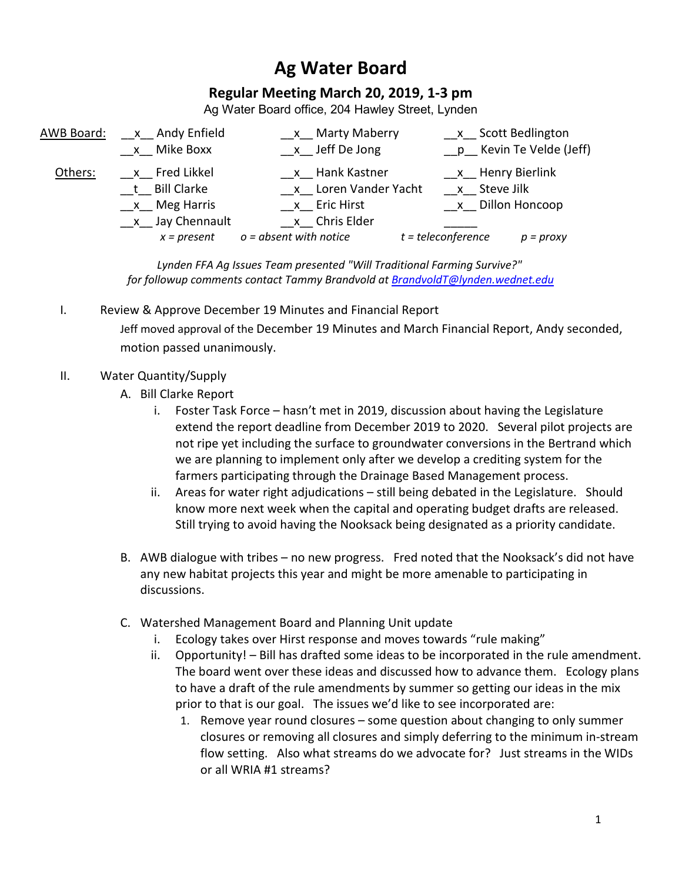## **Ag Water Board**

## **Regular Meeting March 20, 2019, 1-3 pm**

Ag Water Board office, 204 Hawley Street, Lynden

| AWB Board: | x Andy Enfield  | x Marty Maberry          | x Scott Bedlington                  |
|------------|-----------------|--------------------------|-------------------------------------|
|            | x Mike Boxx     | x Jeff De Jong           | __p__ Kevin Te Velde (Jeff)         |
| Others:    | x Fred Likkel   | x Hank Kastner           | x Henry Bierlink                    |
|            | t Bill Clarke   | x Loren Vander Yacht     | x Steve Jilk                        |
|            | $x$ Meg Harris  | x Eric Hirst             | x Dillon Honcoop                    |
|            | x Jay Chennault | x Chris Elder            |                                     |
|            | $x = present$   | $o = absent$ with notice | $t = teleconference$<br>$p = proxy$ |

*Lynden FFA Ag Issues Team presented "Will Traditional Farming Survive?" for followup comments contact Tammy Brandvold a[t BrandvoldT@lynden.wednet.edu](mailto:BrandvoldT@lynden.wednet.edu)*

I. Review & Approve December 19 Minutes and Financial Report

Jeff moved approval of the December 19 Minutes and March Financial Report, Andy seconded, motion passed unanimously.

- II. Water Quantity/Supply
	- A. Bill Clarke Report
		- i. Foster Task Force hasn't met in 2019, discussion about having the Legislature extend the report deadline from December 2019 to 2020. Several pilot projects are not ripe yet including the surface to groundwater conversions in the Bertrand which we are planning to implement only after we develop a crediting system for the farmers participating through the Drainage Based Management process.
		- ii. Areas for water right adjudications still being debated in the Legislature. Should know more next week when the capital and operating budget drafts are released. Still trying to avoid having the Nooksack being designated as a priority candidate.
	- B. AWB dialogue with tribes no new progress. Fred noted that the Nooksack's did not have any new habitat projects this year and might be more amenable to participating in discussions.
	- C. Watershed Management Board and Planning Unit update
		- i. Ecology takes over Hirst response and moves towards "rule making"
		- ii. Opportunity! Bill has drafted some ideas to be incorporated in the rule amendment. The board went over these ideas and discussed how to advance them. Ecology plans to have a draft of the rule amendments by summer so getting our ideas in the mix prior to that is our goal. The issues we'd like to see incorporated are:
			- 1. Remove year round closures some question about changing to only summer closures or removing all closures and simply deferring to the minimum in-stream flow setting. Also what streams do we advocate for? Just streams in the WIDs or all WRIA #1 streams?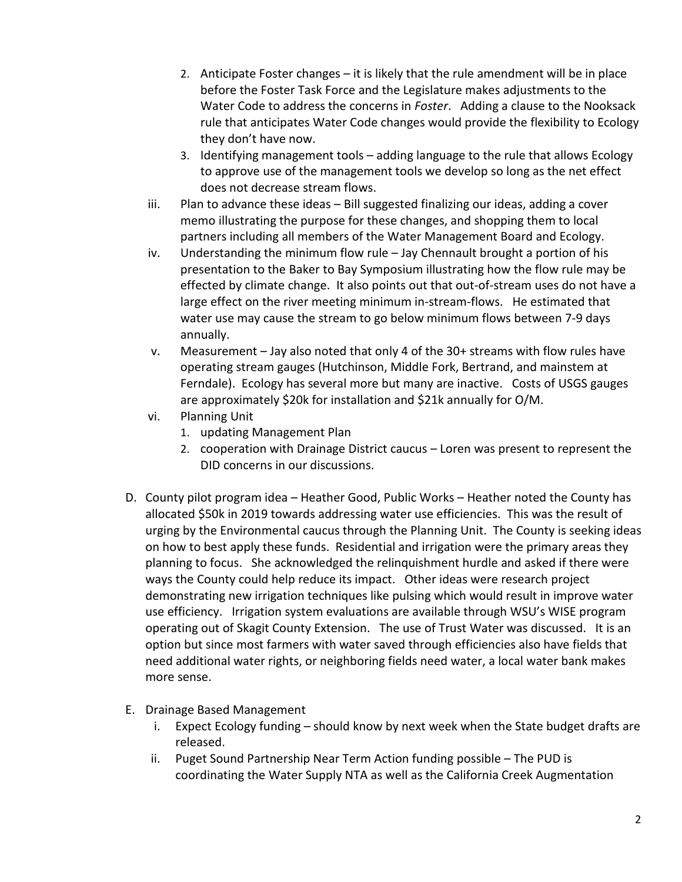- 2. Anticipate Foster changes it is likely that the rule amendment will be in place before the Foster Task Force and the Legislature makes adjustments to the Water Code to address the concerns in *Foster*. Adding a clause to the Nooksack rule that anticipates Water Code changes would provide the flexibility to Ecology they don't have now.
- 3. Identifying management tools adding language to the rule that allows Ecology to approve use of the management tools we develop so long as the net effect does not decrease stream flows.
- iii. Plan to advance these ideas Bill suggested finalizing our ideas, adding a cover memo illustrating the purpose for these changes, and shopping them to local partners including all members of the Water Management Board and Ecology.
- iv. Understanding the minimum flow rule Jay Chennault brought a portion of his presentation to the Baker to Bay Symposium illustrating how the flow rule may be effected by climate change. It also points out that out-of-stream uses do not have a large effect on the river meeting minimum in-stream-flows. He estimated that water use may cause the stream to go below minimum flows between 7-9 days annually.
- v. Measurement Jay also noted that only 4 of the 30+ streams with flow rules have operating stream gauges (Hutchinson, Middle Fork, Bertrand, and mainstem at Ferndale). Ecology has several more but many are inactive. Costs of USGS gauges are approximately \$20k for installation and \$21k annually for O/M.
- vi. Planning Unit
	- 1. updating Management Plan
	- 2. cooperation with Drainage District caucus Loren was present to represent the DID concerns in our discussions.
- D. County pilot program idea Heather Good, Public Works Heather noted the County has allocated \$50k in 2019 towards addressing water use efficiencies. This was the result of urging by the Environmental caucus through the Planning Unit. The County is seeking ideas on how to best apply these funds. Residential and irrigation were the primary areas they planning to focus. She acknowledged the relinquishment hurdle and asked if there were ways the County could help reduce its impact. Other ideas were research project demonstrating new irrigation techniques like pulsing which would result in improve water use efficiency. Irrigation system evaluations are available through WSU's WISE program operating out of Skagit County Extension. The use of Trust Water was discussed. It is an option but since most farmers with water saved through efficiencies also have fields that need additional water rights, or neighboring fields need water, a local water bank makes more sense.
- E. Drainage Based Management
	- i. Expect Ecology funding should know by next week when the State budget drafts are released.
	- ii. Puget Sound Partnership Near Term Action funding possible The PUD is coordinating the Water Supply NTA as well as the California Creek Augmentation